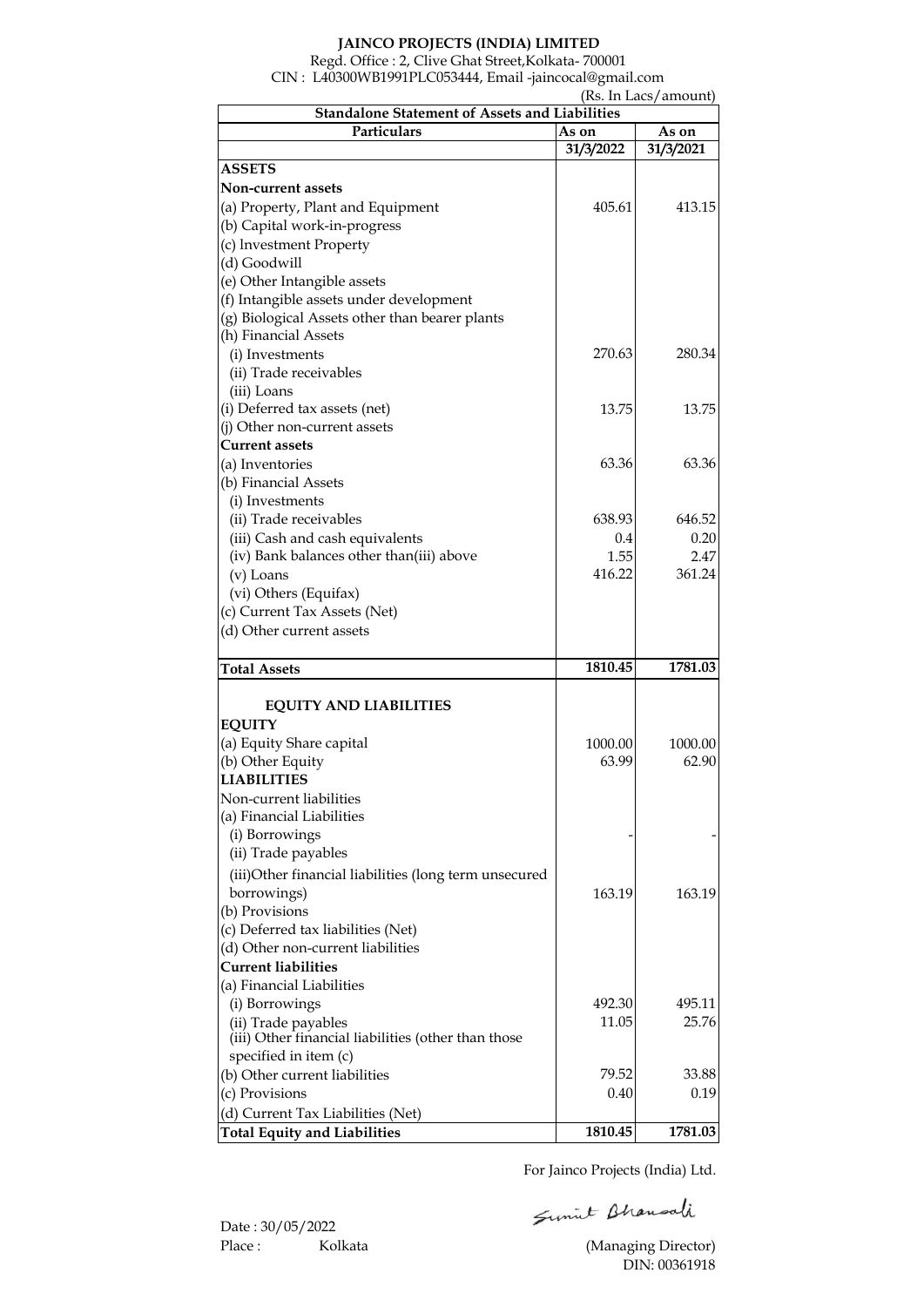## **JAINCO PROJECTS (INDIA) LIMITED**

Regd. Office : 2, Clive Ghat Street,Kolkata- 700001 CIN : L40300WB1991PLC053444, Email -jaincocal@gmail.com

 (Rs. In Lacs/amount) As on **As on**<br>31/3/2022 31/3/2021 **31/3/2022 31/3/2021** 405.61 413.15 270.63 280.34 13.75 13.75 63.36 63.36 638.93 646.52 0.4 0.20  $\begin{array}{|c|c|c|}\n 1.55 & 2.47 \\
\hline\n 16.22 & 361.24\n \end{array}$ 416.22 **1810.45 1781.03** 1000.00 1000.00 63.99 62.90 - - 163.19 163.19 492.30 495.11 11.05 25.76 79.52 33.88 0.40 0.19 **1810.45 1781.03** (iii) Other financial liabilities (other than those specified in item (c) (b) Other current liabilities (c) Provisions (d) Current Tax Liabilities (Net) **Total Equity and Liabilities** (d) Other non-current liabilities **Current liabilities** (a) Financial Liabilities (i) Borrowings (ii) Trade payables (i) Borrowings (ii) Trade payables (iii)Other financial liabilities (long term unsecured borrowings) (b) Provisions (c) Deferred tax liabilities (Net) (a) Equity Share capital (b) Other Equity **LIABILITIES** Non-current liabilities (a) Financial Liabilities **Total Assets EQUITY AND LIABILITIES EQUITY** (iv) Bank balances other than(iii) above (v) Loans (vi) Others (Equifax) (c) Current Tax Assets (Net) (d) Other current assets (a) Inventories (b) Financial Assets (i) Investments (ii) Trade receivables (iii) Cash and cash equivalents (ii) Trade receivables (iii) Loans (i) Deferred tax assets (net) (j) Other non-current assets **Current assets** (e) Other Intangible assets (f) Intangible assets under development (g) Biological Assets other than bearer plants (h) Financial Assets (i) Investments **Non-current assets** (a) Property, Plant and Equipment (b) Capital work-in-progress (c) lnvestment Property (d) Goodwill **Standalone Statement of Assets and Liabilities ASSETS Particulars**

For Jainco Projects (India) Ltd.

Sumit Bhausali

Date : 30/05/2022 Place : Kolkata (Managing Director)

DIN: 00361918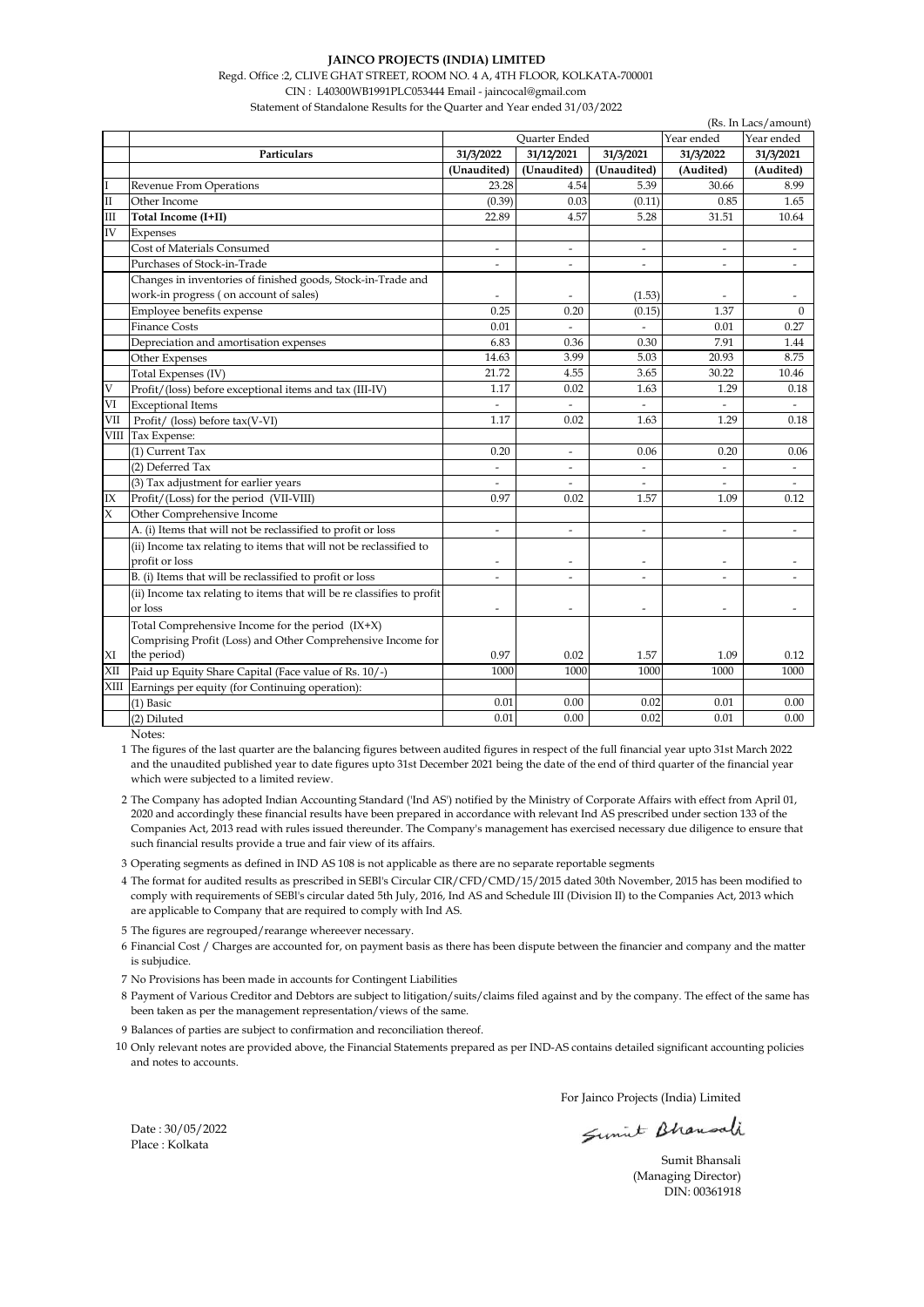#### **JAINCO PROJECTS (INDIA) LIMITED**

Regd. Office :2, CLIVE GHAT STREET, ROOM NO. 4 A, 4TH FLOOR, KOLKATA-700001

CIN : L40300WB1991PLC053444 Email - jaincocal@gmail.com Statement of Standalone Results for the Quarter and Year ended 31/03/2022

|              | (Rs. In Lacs/amount)                                                   |                                    |                          |                              |                          |                          |  |
|--------------|------------------------------------------------------------------------|------------------------------------|--------------------------|------------------------------|--------------------------|--------------------------|--|
|              |                                                                        | <b>Ouarter Ended</b><br>Year ended |                          |                              |                          | Year ended               |  |
|              | Particulars                                                            | 31/3/2022                          | 31/12/2021               | 31/3/2021                    | 31/3/2022                | 31/3/2021                |  |
|              |                                                                        | (Unaudited)                        | (Unaudited)              | (Unaudited)                  | (Audited)                | (Audited)                |  |
|              | Revenue From Operations                                                | 23.28                              | 4.54                     | 5.39                         | 30.66                    | 8.99                     |  |
| $\mathbf{I}$ | Other Income                                                           | (0.39)                             | 0.03                     | (0.11)                       | 0.85                     | 1.65                     |  |
| Ш            | Total Income (I+II)                                                    | 22.89                              | 4.57                     | 5.28                         | 31.51                    | 10.64                    |  |
| IV           | Expenses                                                               |                                    |                          |                              |                          |                          |  |
|              | Cost of Materials Consumed                                             | $\overline{\phantom{a}}$           | $\overline{\phantom{a}}$ | $\overline{\phantom{a}}$     | $\overline{\phantom{a}}$ | $\overline{\phantom{a}}$ |  |
|              | Purchases of Stock-in-Trade                                            | L,                                 | ÷.                       | ÷                            | $\overline{a}$           |                          |  |
|              | Changes in inventories of finished goods, Stock-in-Trade and           |                                    |                          |                              |                          |                          |  |
|              | work-in progress (on account of sales)                                 |                                    |                          | (1.53)                       |                          |                          |  |
|              | Employee benefits expense                                              | 0.25                               | 0.20                     | (0.15)                       | 1.37                     | $\Omega$                 |  |
|              | <b>Finance Costs</b>                                                   | 0.01                               | $\sim$                   |                              | 0.01                     | 0.27                     |  |
|              | Depreciation and amortisation expenses                                 | 6.83                               | 0.36                     | 0.30                         | 7.91                     | 1.44                     |  |
|              | Other Expenses                                                         | 14.63                              | 3.99                     | 5.03                         | 20.93                    | 8.75                     |  |
|              | Total Expenses (IV)                                                    | 21.72                              | 4.55                     | 3.65                         | 30.22                    | 10.46                    |  |
| V            | Profit/(loss) before exceptional items and tax (III-IV)                | 1.17                               | 0.02                     | 1.63                         | 1.29                     | 0.18                     |  |
| VI           | <b>Exceptional Items</b>                                               | $\sim$                             | $\sim$                   |                              |                          | $\overline{a}$           |  |
| VII          | Profit/ (loss) before tax(V-VI)                                        | 1.17                               | 0.02                     | 1.63                         | 1.29                     | 0.18                     |  |
| VIII         | Tax Expense:                                                           |                                    |                          |                              |                          |                          |  |
|              | (1) Current Tax                                                        | 0.20                               | $\overline{\phantom{a}}$ | 0.06                         | 0.20                     | 0.06                     |  |
|              | (2) Deferred Tax                                                       |                                    | ÷.                       |                              |                          |                          |  |
|              | (3) Tax adjustment for earlier years                                   |                                    |                          |                              |                          |                          |  |
| IX           | Profit/(Loss) for the period (VII-VIII)                                | 0.97                               | 0.02                     | 1.57                         | 1.09                     | 0.12                     |  |
| X            | Other Comprehensive Income                                             |                                    |                          |                              |                          |                          |  |
|              | A. (i) Items that will not be reclassified to profit or loss           | $\overline{\phantom{a}}$           | $\overline{\phantom{a}}$ | $\overline{\phantom{a}}$     | ۰                        | $\sim$                   |  |
|              | (ii) Income tax relating to items that will not be reclassified to     |                                    |                          |                              |                          |                          |  |
|              | profit or loss                                                         | $\tilde{\phantom{a}}$              | $\tilde{\phantom{a}}$    | $\qquad \qquad \blacksquare$ | $\overline{\phantom{a}}$ | $\overline{\phantom{a}}$ |  |
|              | B. (i) Items that will be reclassified to profit or loss               | ٠                                  | $\tilde{\phantom{a}}$    | $\overline{a}$               | $\overline{\phantom{a}}$ |                          |  |
|              | (ii) Income tax relating to items that will be re classifies to profit |                                    |                          |                              |                          |                          |  |
|              | or loss                                                                | ÷                                  |                          |                              | $\overline{a}$           |                          |  |
|              | Total Comprehensive Income for the period (IX+X)                       |                                    |                          |                              |                          |                          |  |
|              | Comprising Profit (Loss) and Other Comprehensive Income for            |                                    |                          |                              |                          |                          |  |
| ΧI           | the period)                                                            | 0.97                               | 0.02                     | 1.57                         | 1.09                     | 0.12                     |  |
| XII          | Paid up Equity Share Capital (Face value of Rs. 10/-)                  | 1000                               | 1000                     | 1000                         | 1000                     | 1000                     |  |
| XIII         | Earnings per equity (for Continuing operation):                        |                                    |                          |                              |                          |                          |  |
|              | (1) Basic                                                              | 0.01                               | 0.00                     | 0.02                         | 0.01                     | 0.00                     |  |
|              | (2) Diluted                                                            | 0.01                               | 0.00                     | 0.02                         | 0.01                     | 0.00                     |  |

Notes:

1 The figures of the last quarter are the balancing figures between audited figures in respect of the full financial year upto 31st March 2022 and the unaudited published year to date figures upto 31st December 2021 being the date of the end of third quarter of the financial year which were subjected to a limited review.

2 The Company has adopted Indian Accounting Standard ('Ind AS') notified by the Ministry of Corporate Affairs with effect from April 01, 2020 and accordingly these financial results have been prepared in accordance with relevant Ind AS prescribed under section 133 of the Companies Act, 2013 read with rules issued thereunder. The Company's management has exercised necessary due diligence to ensure that such financial results provide a true and fair view of its affairs.

3 Operating segments as defined in IND AS 108 is not applicable as there are no separate reportable segments

4 The format for audited results as prescribed in SEBl's Circular CIR/CFD/CMD/15/2015 dated 30th November, 2015 has been modified to comply with requirements of SEBl's circular dated 5th July, 2016, Ind AS and Schedule III (Division II) to the Companies Act, 2013 which are applicable to Company that are required to comply with Ind AS.

5 The figures are regrouped/rearange whereever necessary.

6 Financial Cost / Charges are accounted for, on payment basis as there has been dispute between the financier and company and the matter is subjudice.

7 No Provisions has been made in accounts for Contingent Liabilities

8 Payment of Various Creditor and Debtors are subject to litigation/suits/claims filed against and by the company. The effect of the same has been taken as per the management representation/views of the same.

9 Balances of parties are subject to confirmation and reconciliation thereof.

10 Only relevant notes are provided above, the Financial Statements prepared as per IND-AS contains detailed significant accounting policies and notes to accounts.

For Jainco Projects (India) Limited

Sumit Bhausali

Sumit Bhansali (Managing Director) DIN: 00361918

Date : 30/05/2022 Place : Kolkata